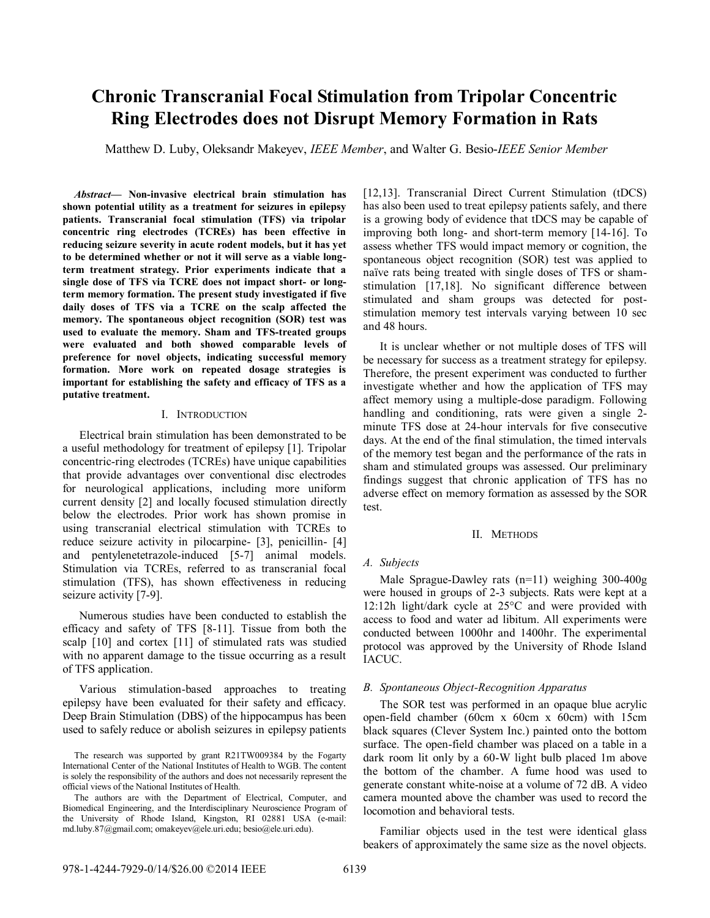# **Chronic Transcranial Focal Stimulation from Tripolar Concentric Ring Electrodes does not Disrupt Memory Formation in Rats**

Matthew D. Luby, Oleksandr Makeyev, *IEEE Member*, and Walter G. Besio-*IEEE Senior Member*

*Abstract***— Non-invasive electrical brain stimulation has shown potential utility as a treatment for seizures in epilepsy patients. Transcranial focal stimulation (TFS) via tripolar concentric ring electrodes (TCREs) has been effective in reducing seizure severity in acute rodent models, but it has yet to be determined whether or not it will serve as a viable longterm treatment strategy. Prior experiments indicate that a single dose of TFS via TCRE does not impact short- or longterm memory formation. The present study investigated if five daily doses of TFS via a TCRE on the scalp affected the memory. The spontaneous object recognition (SOR) test was used to evaluate the memory. Sham and TFS-treated groups were evaluated and both showed comparable levels of preference for novel objects, indicating successful memory formation. More work on repeated dosage strategies is important for establishing the safety and efficacy of TFS as a putative treatment.**

## I. INTRODUCTION

Electrical brain stimulation has been demonstrated to be a useful methodology for treatment of epilepsy [1]. Tripolar concentric-ring electrodes (TCREs) have unique capabilities that provide advantages over conventional disc electrodes for neurological applications, including more uniform current density [2] and locally focused stimulation directly below the electrodes. Prior work has shown promise in using transcranial electrical stimulation with TCREs to reduce seizure activity in pilocarpine- [3], penicillin- [4] and pentylenetetrazole-induced [5-7] animal models. Stimulation via TCREs, referred to as transcranial focal stimulation (TFS), has shown effectiveness in reducing seizure activity [7-9].

Numerous studies have been conducted to establish the efficacy and safety of TFS [8-11]. Tissue from both the scalp [10] and cortex [11] of stimulated rats was studied with no apparent damage to the tissue occurring as a result of TFS application.

Various stimulation-based approaches to treating epilepsy have been evaluated for their safety and efficacy. Deep Brain Stimulation (DBS) of the hippocampus has been used to safely reduce or abolish seizures in epilepsy patients [12,13]. Transcranial Direct Current Stimulation (tDCS) has also been used to treat epilepsy patients safely, and there is a growing body of evidence that tDCS may be capable of improving both long- and short-term memory [14-16]. To assess whether TFS would impact memory or cognition, the spontaneous object recognition (SOR) test was applied to naïve rats being treated with single doses of TFS or shamstimulation [17,18]. No significant difference between stimulated and sham groups was detected for poststimulation memory test intervals varying between 10 sec and 48 hours.

It is unclear whether or not multiple doses of TFS will be necessary for success as a treatment strategy for epilepsy. Therefore, the present experiment was conducted to further investigate whether and how the application of TFS may affect memory using a multiple-dose paradigm. Following handling and conditioning, rats were given a single 2 minute TFS dose at 24-hour intervals for five consecutive days. At the end of the final stimulation, the timed intervals of the memory test began and the performance of the rats in sham and stimulated groups was assessed. Our preliminary findings suggest that chronic application of TFS has no adverse effect on memory formation as assessed by the SOR test.

#### II. METHODS

#### *A. Subjects*

Male Sprague-Dawley rats (n=11) weighing 300-400g were housed in groups of 2-3 subjects. Rats were kept at a 12:12h light/dark cycle at 25°C and were provided with access to food and water ad libitum. All experiments were conducted between 1000hr and 1400hr. The experimental protocol was approved by the University of Rhode Island IACUC.

### *B. Spontaneous Object-Recognition Apparatus*

The SOR test was performed in an opaque blue acrylic open-field chamber (60cm x 60cm x 60cm) with 15cm black squares (Clever System Inc.) painted onto the bottom surface. The open-field chamber was placed on a table in a dark room lit only by a 60-W light bulb placed 1m above the bottom of the chamber. A fume hood was used to generate constant white-noise at a volume of 72 dB. A video camera mounted above the chamber was used to record the locomotion and behavioral tests.

Familiar objects used in the test were identical glass beakers of approximately the same size as the novel objects.

The research was supported by grant R21TW009384 by the Fogarty International Center of the National Institutes of Health to WGB. The content is solely the responsibility of the authors and does not necessarily represent the official views of the National Institutes of Health.

The authors are with the Department of Electrical, Computer, and Biomedical Engineering, and the Interdisciplinary Neuroscience Program of the University of Rhode Island, Kingston, RI 02881 USA (e-mail: md.luby.87@gmail.com; omakeyev@ele.uri.edu; besio@ele.uri.edu).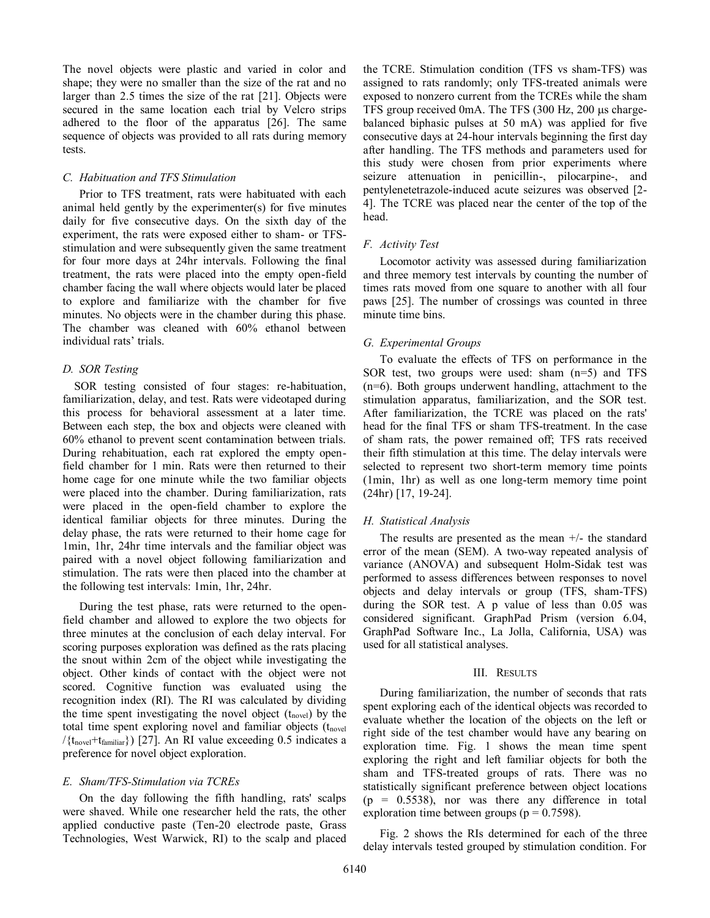The novel objects were plastic and varied in color and shape; they were no smaller than the size of the rat and no larger than 2.5 times the size of the rat [21]. Objects were secured in the same location each trial by Velcro strips adhered to the floor of the apparatus [26]. The same sequence of objects was provided to all rats during memory tests.

#### *C. Habituation and TFS Stimulation*

Prior to TFS treatment, rats were habituated with each animal held gently by the experimenter(s) for five minutes daily for five consecutive days. On the sixth day of the experiment, the rats were exposed either to sham- or TFSstimulation and were subsequently given the same treatment for four more days at 24hr intervals. Following the final treatment, the rats were placed into the empty open-field chamber facing the wall where objects would later be placed to explore and familiarize with the chamber for five minutes. No objects were in the chamber during this phase. The chamber was cleaned with 60% ethanol between individual rats' trials.

## *D. SOR Testing*

SOR testing consisted of four stages: re-habituation, familiarization, delay, and test. Rats were videotaped during this process for behavioral assessment at a later time. Between each step, the box and objects were cleaned with 60% ethanol to prevent scent contamination between trials. During rehabituation, each rat explored the empty openfield chamber for 1 min. Rats were then returned to their home cage for one minute while the two familiar objects were placed into the chamber. During familiarization, rats were placed in the open-field chamber to explore the identical familiar objects for three minutes. During the delay phase, the rats were returned to their home cage for 1min, 1hr, 24hr time intervals and the familiar object was paired with a novel object following familiarization and stimulation. The rats were then placed into the chamber at the following test intervals: 1min, 1hr, 24hr.

During the test phase, rats were returned to the openfield chamber and allowed to explore the two objects for three minutes at the conclusion of each delay interval. For scoring purposes exploration was defined as the rats placing the snout within 2cm of the object while investigating the object. Other kinds of contact with the object were not scored. Cognitive function was evaluated using the recognition index (RI). The RI was calculated by dividing the time spent investigating the novel object  $(t_{\text{novel}})$  by the total time spent exploring novel and familiar objects  $(t_{novel})$  $/(t_{\text{novel}}+t_{\text{familiar}})$  [27]. An RI value exceeding 0.5 indicates a preference for novel object exploration.

## *E. Sham/TFS-Stimulation via TCREs*

On the day following the fifth handling, rats' scalps were shaved. While one researcher held the rats, the other applied conductive paste (Ten-20 electrode paste, Grass Technologies, West Warwick, RI) to the scalp and placed the TCRE. Stimulation condition (TFS vs sham-TFS) was assigned to rats randomly; only TFS-treated animals were exposed to nonzero current from the TCREs while the sham TFS group received 0mA. The TFS  $(300 \text{ Hz}, 200 \text{ }\mu\text{s})$  chargebalanced biphasic pulses at 50 mA) was applied for five consecutive days at 24-hour intervals beginning the first day after handling. The TFS methods and parameters used for this study were chosen from prior experiments where seizure attenuation in penicillin-, pilocarpine-, and pentylenetetrazole-induced acute seizures was observed [2- 4]. The TCRE was placed near the center of the top of the head.

#### *F. Activity Test*

Locomotor activity was assessed during familiarization and three memory test intervals by counting the number of times rats moved from one square to another with all four paws [25]. The number of crossings was counted in three minute time bins.

### *G. Experimental Groups*

To evaluate the effects of TFS on performance in the SOR test, two groups were used: sham (n=5) and TFS (n=6). Both groups underwent handling, attachment to the stimulation apparatus, familiarization, and the SOR test. After familiarization, the TCRE was placed on the rats' head for the final TFS or sham TFS-treatment. In the case of sham rats, the power remained off; TFS rats received their fifth stimulation at this time. The delay intervals were selected to represent two short-term memory time points (1min, 1hr) as well as one long-term memory time point (24hr) [17, 19-24].

## *H. Statistical Analysis*

The results are presented as the mean  $+/-$  the standard error of the mean (SEM). A two-way repeated analysis of variance (ANOVA) and subsequent Holm-Sidak test was performed to assess differences between responses to novel objects and delay intervals or group (TFS, sham-TFS) during the SOR test. A p value of less than 0.05 was considered significant. GraphPad Prism (version 6.04, GraphPad Software Inc., La Jolla, California, USA) was used for all statistical analyses.

## III. RESULTS

During familiarization, the number of seconds that rats spent exploring each of the identical objects was recorded to evaluate whether the location of the objects on the left or right side of the test chamber would have any bearing on exploration time. Fig. 1 shows the mean time spent exploring the right and left familiar objects for both the sham and TFS-treated groups of rats. There was no statistically significant preference between object locations  $(p = 0.5538)$ , nor was there any difference in total exploration time between groups ( $p = 0.7598$ ).

Fig. 2 shows the RIs determined for each of the three delay intervals tested grouped by stimulation condition. For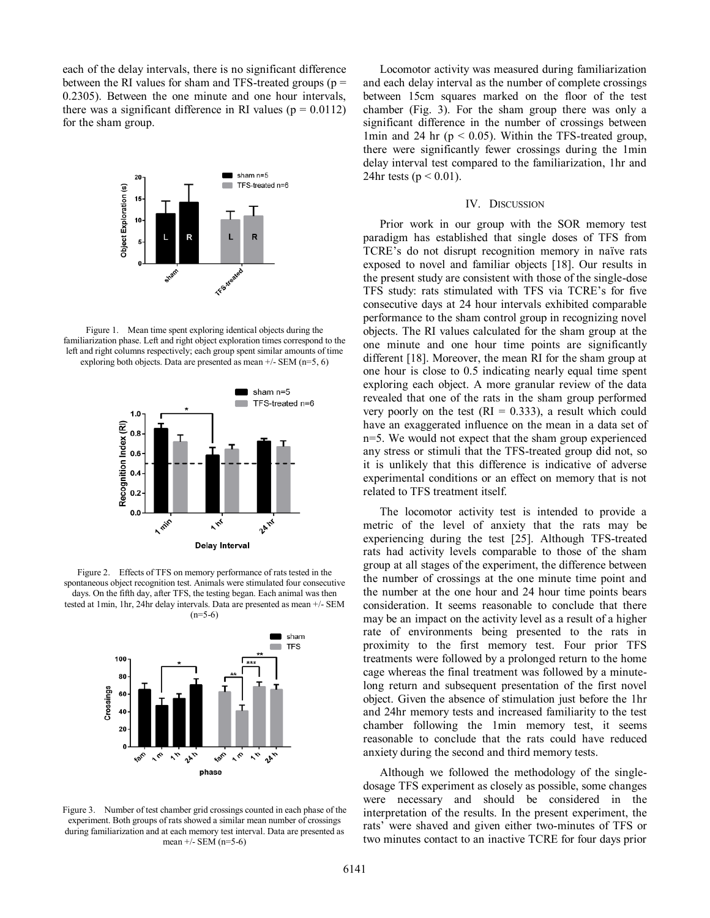each of the delay intervals, there is no significant difference between the RI values for sham and TFS-treated groups ( $p =$ 0.2305). Between the one minute and one hour intervals, there was a significant difference in RI values ( $p = 0.0112$ ) for the sham group.



Figure 1. Mean time spent exploring identical objects during the familiarization phase. Left and right object exploration times correspond to the left and right columns respectively; each group spent similar amounts of time exploring both objects. Data are presented as mean  $+/-$  SEM (n=5, 6)



Figure 2. Effects of TFS on memory performance of rats tested in the spontaneous object recognition test. Animals were stimulated four consecutive days. On the fifth day, after TFS, the testing began. Each animal was then tested at 1min, 1hr, 24hr delay intervals. Data are presented as mean +/- SEM  $(n=5-6)$ 



Figure 3. Number of test chamber grid crossings counted in each phase of the experiment. Both groups of rats showed a similar mean number of crossings during familiarization and at each memory test interval. Data are presented as mean +/- SEM (n=5-6)

Locomotor activity was measured during familiarization and each delay interval as the number of complete crossings between 15cm squares marked on the floor of the test chamber (Fig. 3). For the sham group there was only a significant difference in the number of crossings between 1min and 24 hr ( $p < 0.05$ ). Within the TFS-treated group, there were significantly fewer crossings during the 1min delay interval test compared to the familiarization, 1hr and 24 $hr$  tests ( $p < 0.01$ ).

#### IV. DISCUSSION

Prior work in our group with the SOR memory test paradigm has established that single doses of TFS from TCRE's do not disrupt recognition memory in naïve rats exposed to novel and familiar objects [18]. Our results in the present study are consistent with those of the single-dose TFS study: rats stimulated with TFS via TCRE's for five consecutive days at 24 hour intervals exhibited comparable performance to the sham control group in recognizing novel objects. The RI values calculated for the sham group at the one minute and one hour time points are significantly different [18]. Moreover, the mean RI for the sham group at one hour is close to 0.5 indicating nearly equal time spent exploring each object. A more granular review of the data revealed that one of the rats in the sham group performed very poorly on the test  $(RI = 0.333)$ , a result which could have an exaggerated influence on the mean in a data set of n=5. We would not expect that the sham group experienced any stress or stimuli that the TFS-treated group did not, so it is unlikely that this difference is indicative of adverse experimental conditions or an effect on memory that is not related to TFS treatment itself.

The locomotor activity test is intended to provide a metric of the level of anxiety that the rats may be experiencing during the test [25]. Although TFS-treated rats had activity levels comparable to those of the sham group at all stages of the experiment, the difference between the number of crossings at the one minute time point and the number at the one hour and 24 hour time points bears consideration. It seems reasonable to conclude that there may be an impact on the activity level as a result of a higher rate of environments being presented to the rats in proximity to the first memory test. Four prior TFS treatments were followed by a prolonged return to the home cage whereas the final treatment was followed by a minutelong return and subsequent presentation of the first novel object. Given the absence of stimulation just before the 1hr and 24hr memory tests and increased familiarity to the test chamber following the 1min memory test, it seems reasonable to conclude that the rats could have reduced anxiety during the second and third memory tests.

Although we followed the methodology of the singledosage TFS experiment as closely as possible, some changes were necessary and should be considered in the interpretation of the results. In the present experiment, the rats' were shaved and given either two-minutes of TFS or two minutes contact to an inactive TCRE for four days prior